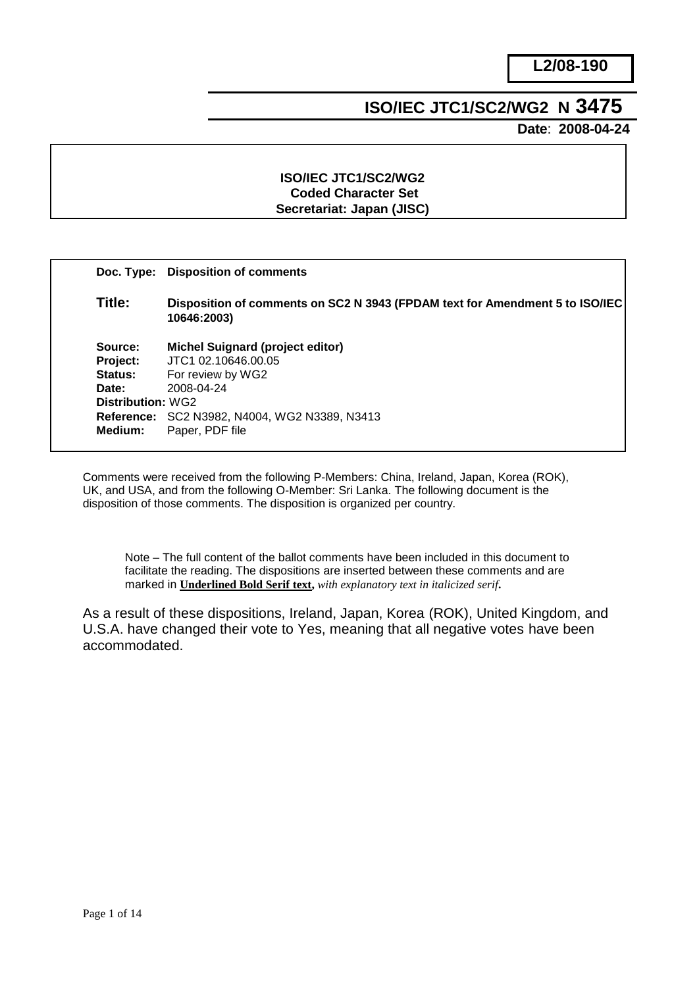# **ISO/IEC JTC1/SC2/WG2 N 3475**

 **Date**: **2008-04-24**

# **ISO/IEC JTC1/SC2/WG2 Coded Character Set Secretariat: Japan (JISC)**

|                   | Doc. Type: Disposition of comments                                                          |  |  |  |
|-------------------|---------------------------------------------------------------------------------------------|--|--|--|
| Title:            | Disposition of comments on SC2 N 3943 (FPDAM text for Amendment 5 to ISO/IEC<br>10646:2003) |  |  |  |
| Source:           | <b>Michel Suignard (project editor)</b>                                                     |  |  |  |
| Project:          | JTC1 02.10646.00.05                                                                         |  |  |  |
| Status:           | For review by WG2                                                                           |  |  |  |
| Date:             | 2008-04-24                                                                                  |  |  |  |
| Distribution: WG2 |                                                                                             |  |  |  |
|                   | <b>Reference: SC2 N3982, N4004, WG2 N3389, N3413</b>                                        |  |  |  |
| Medium:           | Paper, PDF file                                                                             |  |  |  |

Comments were received from the following P-Members: China, Ireland, Japan, Korea (ROK), UK, and USA, and from the following O-Member: Sri Lanka. The following document is the disposition of those comments. The disposition is organized per country.

Note – The full content of the ballot comments have been included in this document to facilitate the reading. The dispositions are inserted between these comments and are marked in **Underlined Bold Serif text,** *with explanatory text in italicized serif***.**

As a result of these dispositions, Ireland, Japan, Korea (ROK), United Kingdom, and U.S.A. have changed their vote to Yes, meaning that all negative votes have been accommodated.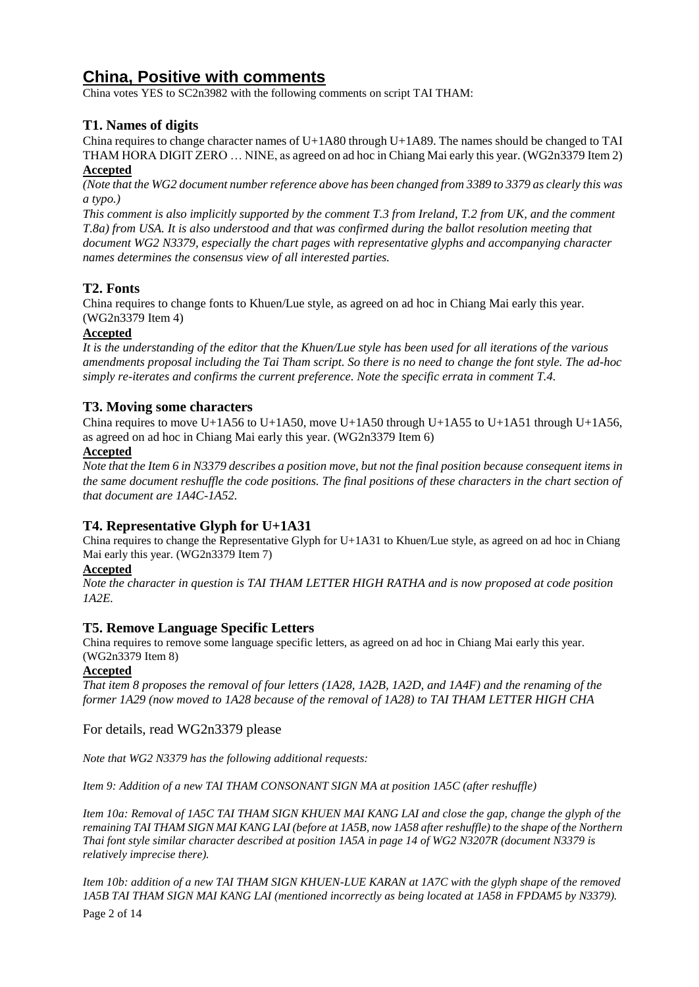# **China, Positive with comments**

China votes YES to SC2n3982 with the following comments on script TAI THAM:

# **T1. Names of digits**

China requires to change character names of U+1A80 through U+1A89. The names should be changed to TAI THAM HORA DIGIT ZERO … NINE, as agreed on ad hoc in Chiang Mai early this year. (WG2n3379 Item 2) **Accepted**

*(Note that the WG2 document number reference above has been changed from 3389 to 3379 as clearly this was a typo.)*

*This comment is also implicitly supported by the comment T.3 from Ireland, T.2 from UK, and the comment T.8a) from USA. It is also understood and that was confirmed during the ballot resolution meeting that document WG2 N3379, especially the chart pages with representative glyphs and accompanying character names determines the consensus view of all interested parties.*

# **T2. Fonts**

China requires to change fonts to Khuen/Lue style, as agreed on ad hoc in Chiang Mai early this year. (WG2n3379 Item 4)

# **Accepted**

*It is the understanding of the editor that the Khuen/Lue style has been used for all iterations of the various amendments proposal including the Tai Tham script. So there is no need to change the font style. The ad-hoc simply re-iterates and confirms the current preference. Note the specific errata in comment T.4.*

# **T3. Moving some characters**

China requires to move U+1A56 to U+1A50, move U+1A50 through U+1A55 to U+1A51 through U+1A56, as agreed on ad hoc in Chiang Mai early this year. (WG2n3379 Item 6)

#### **Accepted**

*Note that the Item 6 in N3379 describes a position move, but not the final position because consequent items in the same document reshuffle the code positions. The final positions of these characters in the chart section of that document are 1A4C-1A52.*

# **T4. Representative Glyph for U+1A31**

China requires to change the Representative Glyph for U+1A31 to Khuen/Lue style, as agreed on ad hoc in Chiang Mai early this year. (WG2n3379 Item 7)

#### **Accepted**

*Note the character in question is TAI THAM LETTER HIGH RATHA and is now proposed at code position 1A2E.*

# **T5. Remove Language Specific Letters**

China requires to remove some language specific letters, as agreed on ad hoc in Chiang Mai early this year. (WG2n3379 Item 8)

#### **Accepted**

*That item 8 proposes the removal of four letters (1A28, 1A2B, 1A2D, and 1A4F) and the renaming of the former 1A29 (now moved to 1A28 because of the removal of 1A28) to TAI THAM LETTER HIGH CHA* 

For details, read WG2n3379 please

*Note that WG2 N3379 has the following additional requests:*

*Item 9: Addition of a new TAI THAM CONSONANT SIGN MA at position 1A5C (after reshuffle)*

*Item 10a: Removal of 1A5C TAI THAM SIGN KHUEN MAI KANG LAI and close the gap, change the glyph of the remaining TAI THAM SIGN MAI KANG LAI (before at 1A5B, now 1A58 after reshuffle) to the shape of the Northern Thai font style similar character described at position 1A5A in page 14 of WG2 N3207R (document N3379 is relatively imprecise there).*

*Item 10b: addition of a new TAI THAM SIGN KHUEN-LUE KARAN at 1A7C with the glyph shape of the removed 1A5B TAI THAM SIGN MAI KANG LAI (mentioned incorrectly as being located at 1A58 in FPDAM5 by N3379).*

Page 2 of 14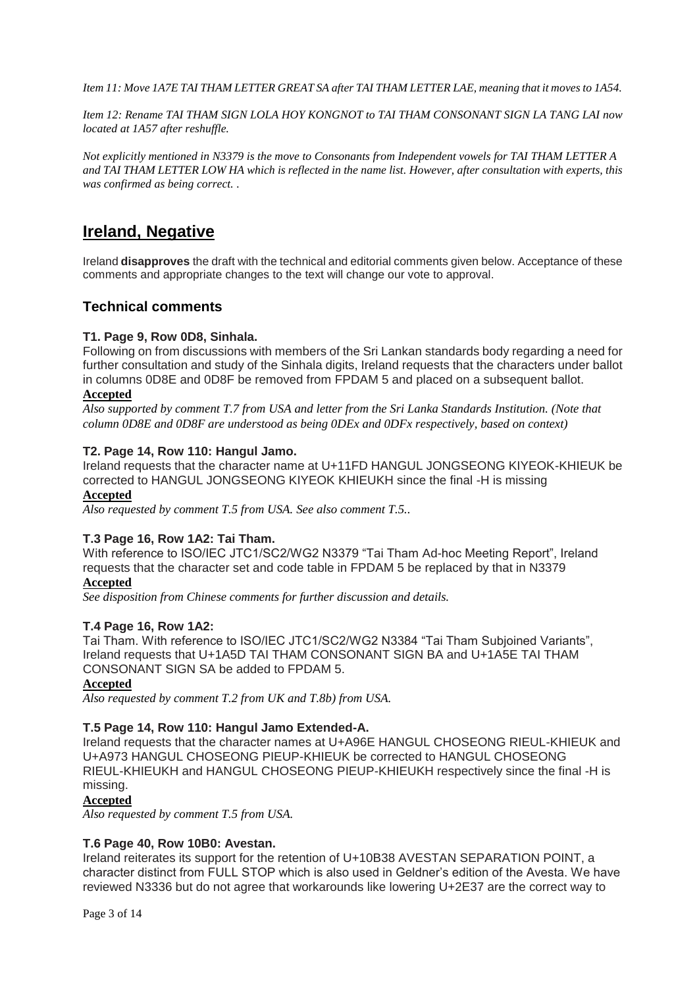*Item 11: Move 1A7E TAI THAM LETTER GREAT SA after TAI THAM LETTER LAE, meaning that it moves to 1A54.*

*Item 12: Rename TAI THAM SIGN LOLA HOY KONGNOT to TAI THAM CONSONANT SIGN LA TANG LAI now located at 1A57 after reshuffle.* 

*Not explicitly mentioned in N3379 is the move to Consonants from Independent vowels for TAI THAM LETTER A and TAI THAM LETTER LOW HA which is reflected in the name list. However, after consultation with experts, this was confirmed as being correct. .*

# **Ireland, Negative**

Ireland **disapproves** the draft with the technical and editorial comments given below. Acceptance of these comments and appropriate changes to the text will change our vote to approval.

# **Technical comments**

# **T1. Page 9, Row 0D8, Sinhala.**

Following on from discussions with members of the Sri Lankan standards body regarding a need for further consultation and study of the Sinhala digits, Ireland requests that the characters under ballot in columns 0D8E and 0D8F be removed from FPDAM 5 and placed on a subsequent ballot.

#### **Accepted**

*Also supported by comment T.7 from USA and letter from the Sri Lanka Standards Institution. (Note that column 0D8E and 0D8F are understood as being 0DEx and 0DFx respectively, based on context)*

#### **T2. Page 14, Row 110: Hangul Jamo.**

Ireland requests that the character name at U+11FD HANGUL JONGSEONG KIYEOK-KHIEUK be corrected to HANGUL JONGSEONG KIYEOK KHIEUKH since the final -H is missing

# **Accepted**

*Also requested by comment T.5 from USA. See also comment T.5..*

#### **T.3 Page 16, Row 1A2: Tai Tham.**

With reference to ISO/IEC JTC1/SC2/WG2 N3379 "Tai Tham Ad-hoc Meeting Report", Ireland requests that the character set and code table in FPDAM 5 be replaced by that in N3379

# **Accepted**

*See disposition from Chinese comments for further discussion and details.*

#### **T.4 Page 16, Row 1A2:**

Tai Tham. With reference to ISO/IEC JTC1/SC2/WG2 N3384 "Tai Tham Subjoined Variants", Ireland requests that U+1A5D TAI THAM CONSONANT SIGN BA and U+1A5E TAI THAM CONSONANT SIGN SA be added to FPDAM 5.

#### **Accepted**

*Also requested by comment T.2 from UK and T.8b) from USA.*

#### **T.5 Page 14, Row 110: Hangul Jamo Extended-A.**

Ireland requests that the character names at U+A96E HANGUL CHOSEONG RIEUL-KHIEUK and U+A973 HANGUL CHOSEONG PIEUP-KHIEUK be corrected to HANGUL CHOSEONG RIEUL-KHIEUKH and HANGUL CHOSEONG PIEUP-KHIEUKH respectively since the final -H is missing.

# **Accepted**

*Also requested by comment T.5 from USA.*

#### **T.6 Page 40, Row 10B0: Avestan.**

Ireland reiterates its support for the retention of U+10B38 AVESTAN SEPARATION POINT, a character distinct from FULL STOP which is also used in Geldner's edition of the Avesta. We have reviewed N3336 but do not agree that workarounds like lowering U+2E37 are the correct way to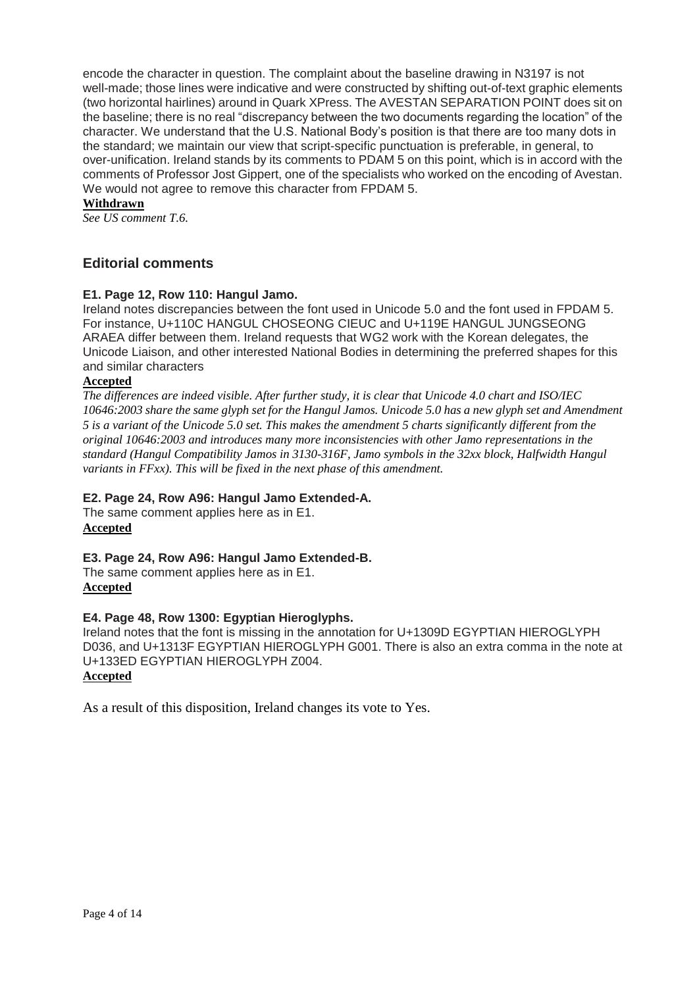encode the character in question. The complaint about the baseline drawing in N3197 is not well-made; those lines were indicative and were constructed by shifting out-of-text graphic elements (two horizontal hairlines) around in Quark XPress. The AVESTAN SEPARATION POINT does sit on the baseline; there is no real "discrepancy between the two documents regarding the location" of the character. We understand that the U.S. National Body's position is that there are too many dots in the standard; we maintain our view that script-specific punctuation is preferable, in general, to over-unification. Ireland stands by its comments to PDAM 5 on this point, which is in accord with the comments of Professor Jost Gippert, one of the specialists who worked on the encoding of Avestan. We would not agree to remove this character from FPDAM 5.

### **Withdrawn**

*See US comment T.6.* 

# **Editorial comments**

# **E1. Page 12, Row 110: Hangul Jamo.**

Ireland notes discrepancies between the font used in Unicode 5.0 and the font used in FPDAM 5. For instance, U+110C HANGUL CHOSEONG CIEUC and U+119E HANGUL JUNGSEONG ARAEA differ between them. Ireland requests that WG2 work with the Korean delegates, the Unicode Liaison, and other interested National Bodies in determining the preferred shapes for this and similar characters

### **Accepted**

*The differences are indeed visible. After further study, it is clear that Unicode 4.0 chart and ISO/IEC 10646:2003 share the same glyph set for the Hangul Jamos. Unicode 5.0 has a new glyph set and Amendment 5 is a variant of the Unicode 5.0 set. This makes the amendment 5 charts significantly different from the original 10646:2003 and introduces many more inconsistencies with other Jamo representations in the standard (Hangul Compatibility Jamos in 3130-316F, Jamo symbols in the 32xx block, Halfwidth Hangul variants in FFxx). This will be fixed in the next phase of this amendment.*

#### **E2. Page 24, Row A96: Hangul Jamo Extended-A.**

The same comment applies here as in E1. **Accepted**

**E3. Page 24, Row A96: Hangul Jamo Extended-B.**

The same comment applies here as in E1. **Accepted**

#### **E4. Page 48, Row 1300: Egyptian Hieroglyphs.**

Ireland notes that the font is missing in the annotation for U+1309D EGYPTIAN HIEROGLYPH D036, and U+1313F EGYPTIAN HIEROGLYPH G001. There is also an extra comma in the note at U+133ED EGYPTIAN HIEROGLYPH Z004. **Accepted**

As a result of this disposition, Ireland changes its vote to Yes.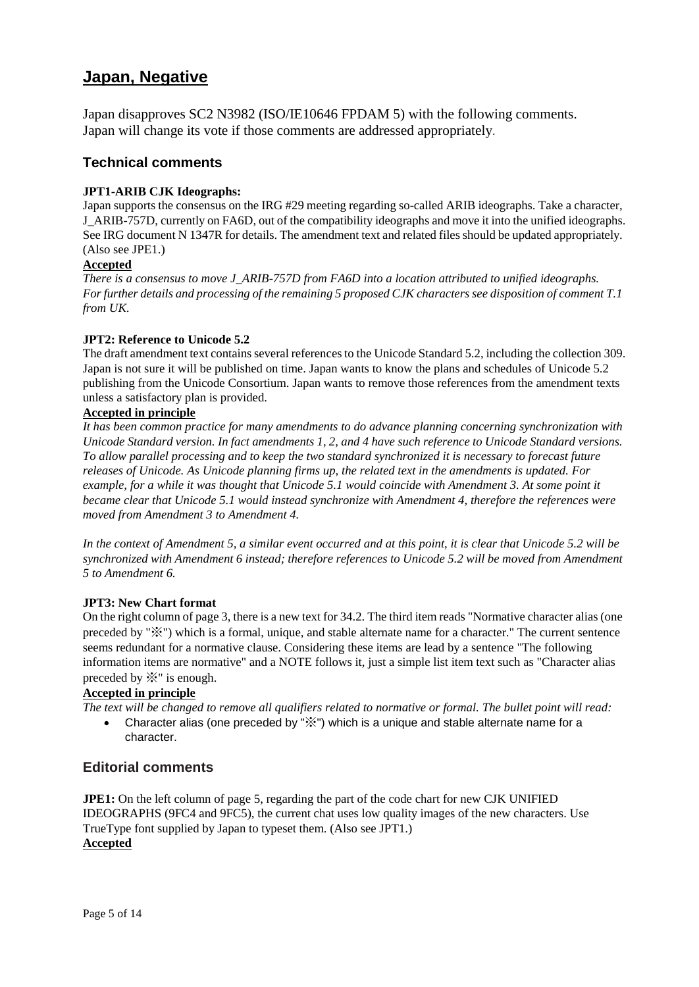# **Japan, Negative**

Japan disapproves SC2 N3982 (ISO/IE10646 FPDAM 5) with the following comments. Japan will change its vote if those comments are addressed appropriately.

# **Technical comments**

# **JPT1-ARIB CJK Ideographs:**

Japan supports the consensus on the IRG #29 meeting regarding so-called ARIB ideographs. Take a character, J\_ARIB-757D, currently on FA6D, out of the compatibility ideographs and move it into the unified ideographs. See IRG document N 1347R for details. The amendment text and related files should be updated appropriately. (Also see JPE1.)

#### **Accepted**

*There is a consensus to move J\_ARIB-757D from FA6D into a location attributed to unified ideographs. For further details and processing of the remaining 5 proposed CJK characters see disposition of comment T.1 from UK.*

# **JPT2: Reference to Unicode 5.2**

The draft amendment text contains several references to the Unicode Standard 5.2, including the collection 309. Japan is not sure it will be published on time. Japan wants to know the plans and schedules of Unicode 5.2 publishing from the Unicode Consortium. Japan wants to remove those references from the amendment texts unless a satisfactory plan is provided.

# **Accepted in principle**

*It has been common practice for many amendments to do advance planning concerning synchronization with Unicode Standard version. In fact amendments 1, 2, and 4 have such reference to Unicode Standard versions. To allow parallel processing and to keep the two standard synchronized it is necessary to forecast future releases of Unicode. As Unicode planning firms up, the related text in the amendments is updated. For example, for a while it was thought that Unicode 5.1 would coincide with Amendment 3. At some point it became clear that Unicode 5.1 would instead synchronize with Amendment 4, therefore the references were moved from Amendment 3 to Amendment 4.*

*In the context of Amendment 5, a similar event occurred and at this point, it is clear that Unicode 5.2 will be synchronized with Amendment 6 instead; therefore references to Unicode 5.2 will be moved from Amendment 5 to Amendment 6.*

#### **JPT3: New Chart format**

On the right column of page 3, there is a new text for 34.2. The third item reads "Normative character alias (one preceded by "※") which is a formal, unique, and stable alternate name for a character." The current sentence seems redundant for a normative clause. Considering these items are lead by a sentence "The following information items are normative" and a NOTE follows it, just a simple list item text such as "Character alias preceded by ※" is enough.

# **Accepted in principle**

*The text will be changed to remove all qualifiers related to normative or formal. The bullet point will read:*

 Character alias (one preceded by "※") which is a unique and stable alternate name for a character.

# **Editorial comments**

**JPE1:** On the left column of page 5, regarding the part of the code chart for new CJK UNIFIED IDEOGRAPHS (9FC4 and 9FC5), the current chat uses low quality images of the new characters. Use TrueType font supplied by Japan to typeset them. (Also see JPT1.) **Accepted**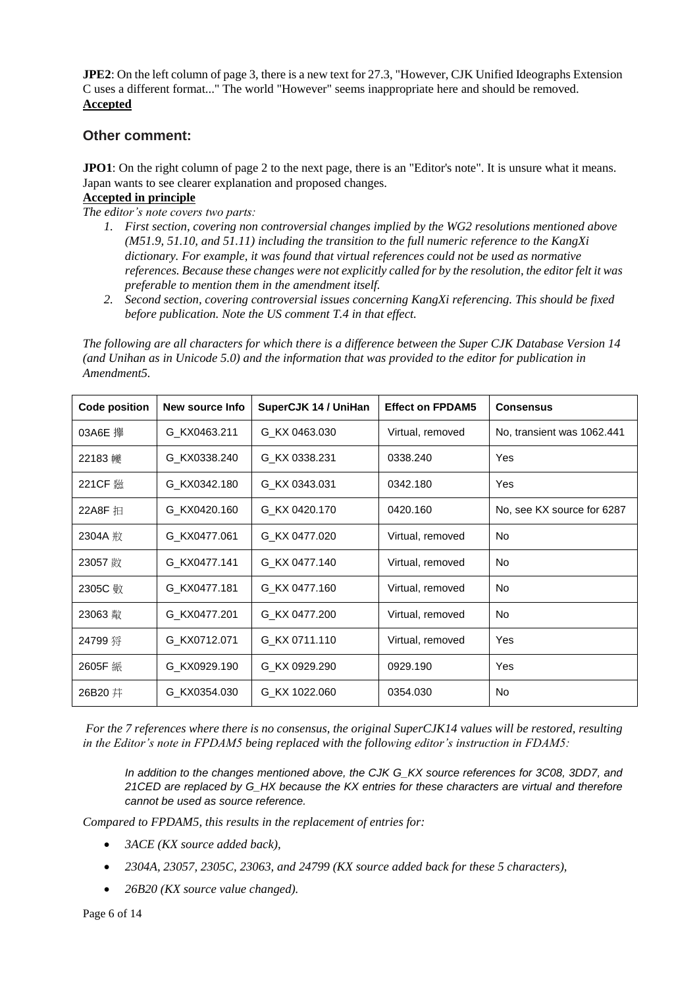**JPE2**: On the left column of page 3, there is a new text for 27.3, "However, CJK Unified Ideographs Extension C uses a different format..." The world "However" seems inappropriate here and should be removed. **Accepted** 

# **Other comment:**

**JPO1**: On the right column of page 2 to the next page, there is an "Editor's note". It is unsure what it means. Japan wants to see clearer explanation and proposed changes.

# **Accepted in principle**

*The editor's note covers two parts:*

- *1. First section, covering non controversial changes implied by the WG2 resolutions mentioned above (M51.9, 51.10, and 51.11) including the transition to the full numeric reference to the KangXi dictionary. For example, it was found that virtual references could not be used as normative references. Because these changes were not explicitly called for by the resolution, the editor felt it was preferable to mention them in the amendment itself.*
- *2. Second section, covering controversial issues concerning KangXi referencing. This should be fixed before publication. Note the US comment T.4 in that effect.*

*The following are all characters for which there is a difference between the Super CJK Database Version 14 (and Unihan as in Unicode 5.0) and the information that was provided to the editor for publication in Amendment5.*

| <b>Code position</b> | New source Info | SuperCJK 14 / UniHan | <b>Effect on FPDAM5</b> | <b>Consensus</b>           |
|----------------------|-----------------|----------------------|-------------------------|----------------------------|
| 03A6E 攑              | G KX0463.211    | G KX 0463.030        | Virtual, removed        | No, transient was 1062.441 |
| 22183 巙              | G KX0338.240    | G KX 0338.231        | 0338.240                | Yes                        |
|                      | G_KX0342.180    | G KX 0343.031        | 0342.180                | Yes                        |
| 22A8F 扣              | G KX0420.160    | G KX 0420.170        | 0420.160                | No, see KX source for 6287 |
|                      | G KX0477.061    | G KX 0477.020        | Virtual, removed        | <b>No</b>                  |
|                      | G_KX0477.141    | G KX 0477.140        | Virtual, removed        | <b>No</b>                  |
| 2305C 敏              | G_KX0477.181    | G KX 0477.160        | Virtual, removed        | <b>No</b>                  |
|                      | G_KX0477.201    | G_KX 0477.200        | Virtual, removed        | <b>No</b>                  |
| 24799 将              | G_KX0712.071    | G KX 0711.110        | Virtual, removed        | Yes                        |
|                      | G KX0929.190    | G KX 0929.290        | 0929.190                | Yes                        |
| 26B20 井              | G KX0354.030    | G KX 1022.060        | 0354.030                | <b>No</b>                  |

*For the 7 references where there is no consensus, the original SuperCJK14 values will be restored, resulting in the Editor's note in FPDAM5 being replaced with the following editor's instruction in FDAM5:*

*In addition to the changes mentioned above, the CJK G\_KX source references for 3C08, 3DD7, and 21CED are replaced by G\_HX because the KX entries for these characters are virtual and therefore cannot be used as source reference.*

*Compared to FPDAM5, this results in the replacement of entries for:*

- *3ACE (KX source added back),*
- *2304A, 23057, 2305C, 23063, and 24799 (KX source added back for these 5 characters),*
- *26B20 (KX source value changed).*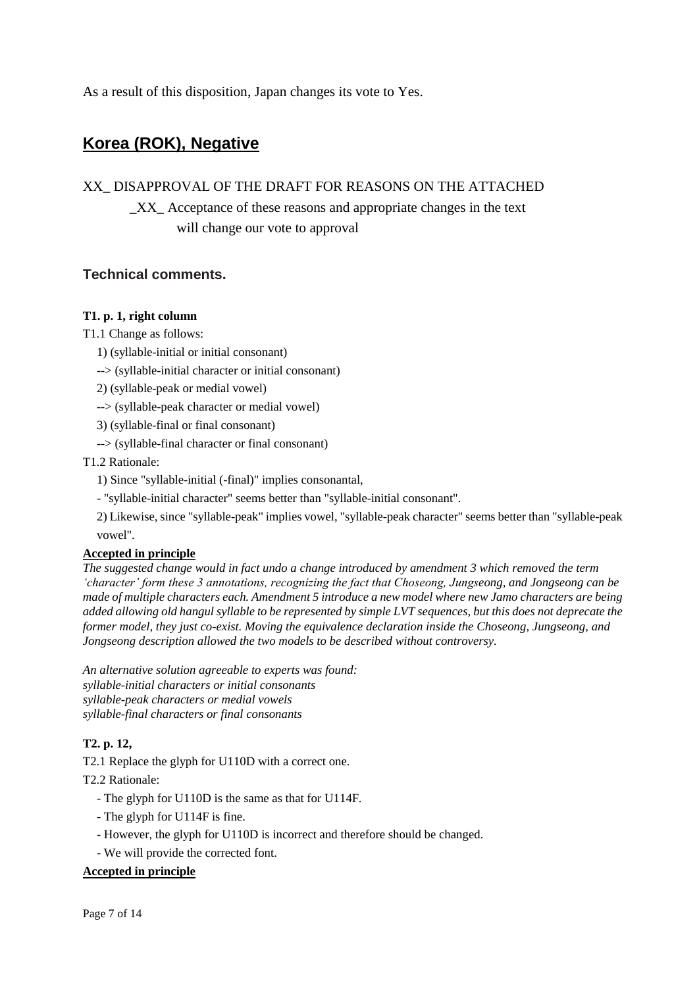As a result of this disposition, Japan changes its vote to Yes.

# **Korea (ROK), Negative**

# XX\_ DISAPPROVAL OF THE DRAFT FOR REASONS ON THE ATTACHED

\_XX\_ Acceptance of these reasons and appropriate changes in the text will change our vote to approval

# **Technical comments.**

# **T1. p. 1, right column**

T1.1 Change as follows:

- 1) (syllable-initial or initial consonant)
- --> (syllable-initial character or initial consonant)

2) (syllable-peak or medial vowel)

- --> (syllable-peak character or medial vowel)
- 3) (syllable-final or final consonant)
- --> (syllable-final character or final consonant)

# T1.2 Rationale:

- 1) Since "syllable-initial (-final)" implies consonantal,
- "syllable-initial character" seems better than "syllable-initial consonant".

2) Likewise, since "syllable-peak" implies vowel, "syllable-peak character" seems better than "syllable-peak vowel".

# **Accepted in principle**

*The suggested change would in fact undo a change introduced by amendment 3 which removed the term 'character' form these 3 annotations, recognizing the fact that Choseong, Jungseong, and Jongseong can be made of multiple characters each. Amendment 5 introduce a new model where new Jamo characters are being added allowing old hangul syllable to be represented by simple LVT sequences, but this does not deprecate the former model, they just co-exist. Moving the equivalence declaration inside the Choseong, Jungseong, and Jongseong description allowed the two models to be described without controversy.*

*An alternative solution agreeable to experts was found: syllable-initial characters or initial consonants syllable-peak characters or medial vowels syllable-final characters or final consonants*

# **T2. p. 12,**

T2.1 Replace the glyph for U110D with a correct one.

T2.2 Rationale:

- The glyph for U110D is the same as that for U114F.
- The glyph for U114F is fine.
- However, the glyph for U110D is incorrect and therefore should be changed.
- We will provide the corrected font.

# **Accepted in principle**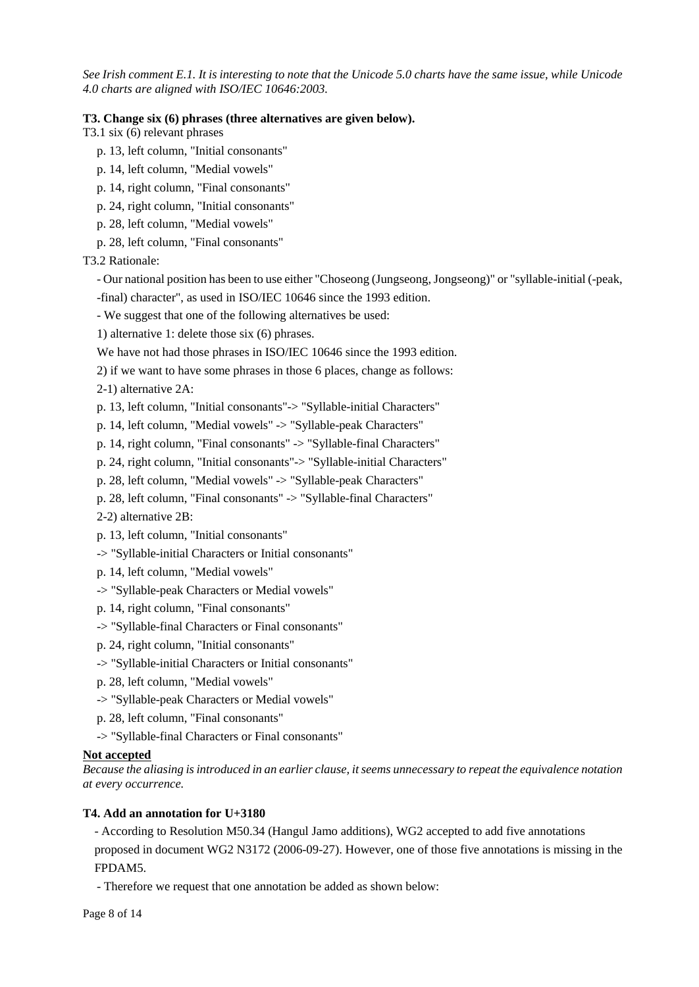*See Irish comment E.1. It is interesting to note that the Unicode 5.0 charts have the same issue, while Unicode 4.0 charts are aligned with ISO/IEC 10646:2003.* 

#### **T3. Change six (6) phrases (three alternatives are given below).**

T3.1 six (6) relevant phrases

- p. 13, left column, "Initial consonants"
- p. 14, left column, "Medial vowels"
- p. 14, right column, "Final consonants"
- p. 24, right column, "Initial consonants"
- p. 28, left column, "Medial vowels"
- p. 28, left column, "Final consonants"

T3.2 Rationale:

- Our national position has been to use either "Choseong (Jungseong, Jongseong)" or "syllable-initial (-peak,
- -final) character", as used in ISO/IEC 10646 since the 1993 edition.
- We suggest that one of the following alternatives be used:
- 1) alternative 1: delete those six (6) phrases.
- We have not had those phrases in ISO/IEC 10646 since the 1993 edition.
- 2) if we want to have some phrases in those 6 places, change as follows:
- 2-1) alternative 2A:
- p. 13, left column, "Initial consonants"-> "Syllable-initial Characters"
- p. 14, left column, "Medial vowels" -> "Syllable-peak Characters"
- p. 14, right column, "Final consonants" -> "Syllable-final Characters"
- p. 24, right column, "Initial consonants"-> "Syllable-initial Characters"
- p. 28, left column, "Medial vowels" -> "Syllable-peak Characters"
- p. 28, left column, "Final consonants" -> "Syllable-final Characters"
- 2-2) alternative 2B:
- p. 13, left column, "Initial consonants"
- -> "Syllable-initial Characters or Initial consonants"
- p. 14, left column, "Medial vowels"
- -> "Syllable-peak Characters or Medial vowels"
- p. 14, right column, "Final consonants"
- -> "Syllable-final Characters or Final consonants"
- p. 24, right column, "Initial consonants"
- -> "Syllable-initial Characters or Initial consonants"
- p. 28, left column, "Medial vowels"
- -> "Syllable-peak Characters or Medial vowels"
- p. 28, left column, "Final consonants"
- -> "Syllable-final Characters or Final consonants"

#### **Not accepted**

*Because the aliasing is introduced in an earlier clause, it seems unnecessary to repeat the equivalence notation at every occurrence.*

#### **T4. Add an annotation for U+3180**

- According to Resolution M50.34 (Hangul Jamo additions), WG2 accepted to add five annotations proposed in document WG2 N3172 (2006-09-27). However, one of those five annotations is missing in the FPDAM5.

- Therefore we request that one annotation be added as shown below: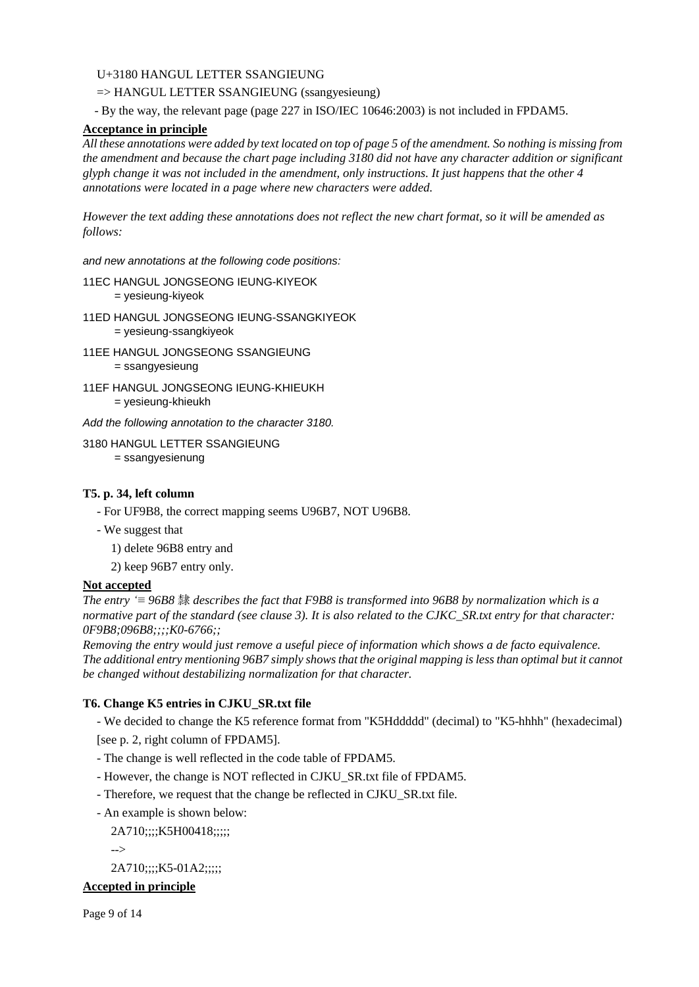# U+3180 HANGUL LETTER SSANGIEUNG

=> HANGUL LETTER SSANGIEUNG (ssangyesieung)

- By the way, the relevant page (page 227 in ISO/IEC 10646:2003) is not included in FPDAM5.

# **Acceptance in principle**

*All these annotations were added by text located on top of page 5 of the amendment. So nothing is missing from the amendment and because the chart page including 3180 did not have any character addition or significant glyph change it was not included in the amendment, only instructions. It just happens that the other 4 annotations were located in a page where new characters were added.*

*However the text adding these annotations does not reflect the new chart format, so it will be amended as follows:*

*and new annotations at the following code positions:*

11EC HANGUL JONGSEONG IEUNG-KIYEOK

= yesieung-kiyeok

- 11ED HANGUL JONGSEONG IEUNG-SSANGKIYEOK = yesieung-ssangkiyeok
- 11EE HANGUL JONGSEONG SSANGIEUNG = ssangyesieung
- 11EF HANGUL JONGSEONG IEUNG-KHIEUKH = yesieung-khieukh

*Add the following annotation to the character 3180.*

3180 HANGUL LETTER SSANGIEUNG

= ssangyesienung

### **T5. p. 34, left column**

- For UF9B8, the correct mapping seems U96B7, NOT U96B8.
- We suggest that
	- 1) delete 96B8 entry and
	- 2) keep 96B7 entry only.

#### **Not accepted**

*The entry '≡ 96B8* 隸 *describes the fact that F9B8 is transformed into 96B8 by normalization which is a normative part of the standard (see clause 3). It is also related to the CJKC\_SR.txt entry for that character: 0F9B8;096B8;;;;K0-6766;;*

*Removing the entry would just remove a useful piece of information which shows a de facto equivalence. The additional entry mentioning 96B7 simply shows that the original mapping is less than optimal but it cannot be changed without destabilizing normalization for that character.*

# **T6. Change K5 entries in CJKU\_SR.txt file**

- We decided to change the K5 reference format from "K5Hddddd" (decimal) to "K5-hhhh" (hexadecimal)

[see p. 2, right column of FPDAM5].

- The change is well reflected in the code table of FPDAM5.
- However, the change is NOT reflected in CJKU\_SR.txt file of FPDAM5.
- Therefore, we request that the change be reflected in CJKU\_SR.txt file.
- An example is shown below:

2A710;;;;K5H00418;;;;;

-->

2A710;;;;K5-01A2;;;;;

# **Accepted in principle**

Page 9 of 14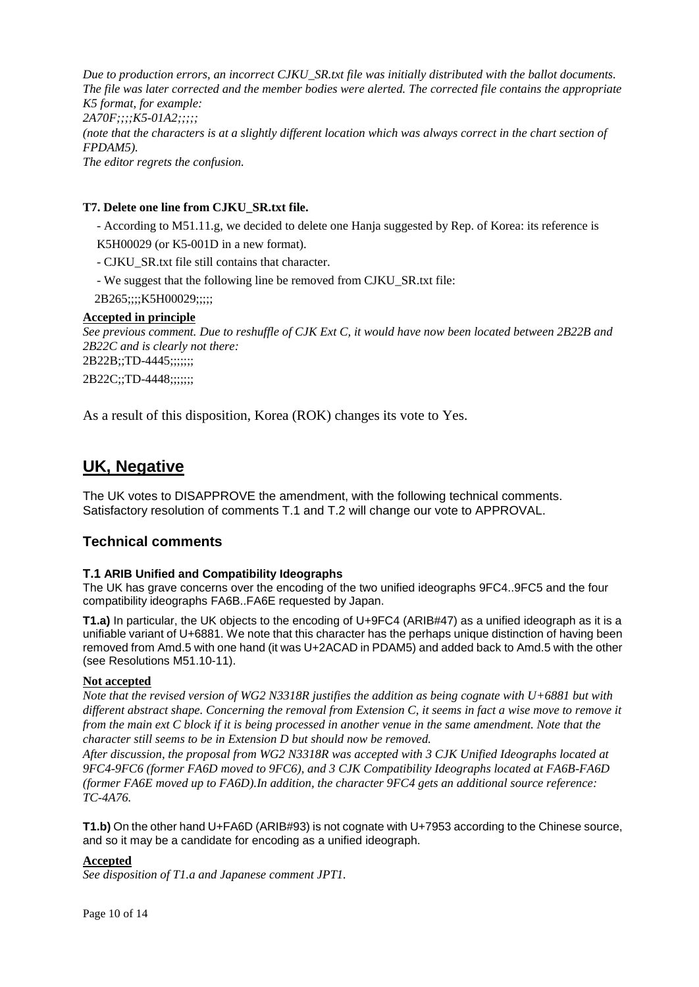*Due to production errors, an incorrect CJKU\_SR.txt file was initially distributed with the ballot documents. The file was later corrected and the member bodies were alerted. The corrected file contains the appropriate K5 format, for example: 2A70F;;;;K5-01A2;;;;; (note that the characters is at a slightly different location which was always correct in the chart section of FPDAM5). The editor regrets the confusion.*

### **T7. Delete one line from CJKU\_SR.txt file.**

- According to M51.11.g, we decided to delete one Hanja suggested by Rep. of Korea: its reference is K5H00029 (or K5-001D in a new format).

- CJKU\_SR.txt file still contains that character.

- We suggest that the following line be removed from CJKU\_SR.txt file:

2B265;;;;K5H00029;;;;;

#### **Accepted in principle**

*See previous comment. Due to reshuffle of CJK Ext C, it would have now been located between 2B22B and 2B22C and is clearly not there:* 2B22B;;TD-4445;;;;;;;

2B22C;;TD-4448;;;;;;;;

As a result of this disposition, Korea (ROK) changes its vote to Yes.

# **UK, Negative**

The UK votes to DISAPPROVE the amendment, with the following technical comments. Satisfactory resolution of comments T.1 and T.2 will change our vote to APPROVAL.

# **Technical comments**

#### **T.1 ARIB Unified and Compatibility Ideographs**

The UK has grave concerns over the encoding of the two unified ideographs 9FC4..9FC5 and the four compatibility ideographs FA6B..FA6E requested by Japan.

**T1.a)** In particular, the UK objects to the encoding of U+9FC4 (ARIB#47) as a unified ideograph as it is a unifiable variant of U+6881. We note that this character has the perhaps unique distinction of having been removed from Amd.5 with one hand (it was U+2ACAD in PDAM5) and added back to Amd.5 with the other (see Resolutions M51.10-11).

#### **Not accepted**

*Note that the revised version of WG2 N3318R justifies the addition as being cognate with U+6881 but with different abstract shape. Concerning the removal from Extension C, it seems in fact a wise move to remove it from the main ext C block if it is being processed in another venue in the same amendment. Note that the character still seems to be in Extension D but should now be removed.*

*After discussion, the proposal from WG2 N3318R was accepted with 3 CJK Unified Ideographs located at 9FC4-9FC6 (former FA6D moved to 9FC6), and 3 CJK Compatibility Ideographs located at FA6B-FA6D (former FA6E moved up to FA6D).In addition, the character 9FC4 gets an additional source reference: TC-4A76.*

**T1.b)** On the other hand U+FA6D (ARIB#93) is not cognate with U+7953 according to the Chinese source, and so it may be a candidate for encoding as a unified ideograph.

#### **Accepted**

*See disposition of T1.a and Japanese comment JPT1.*

Page 10 of 14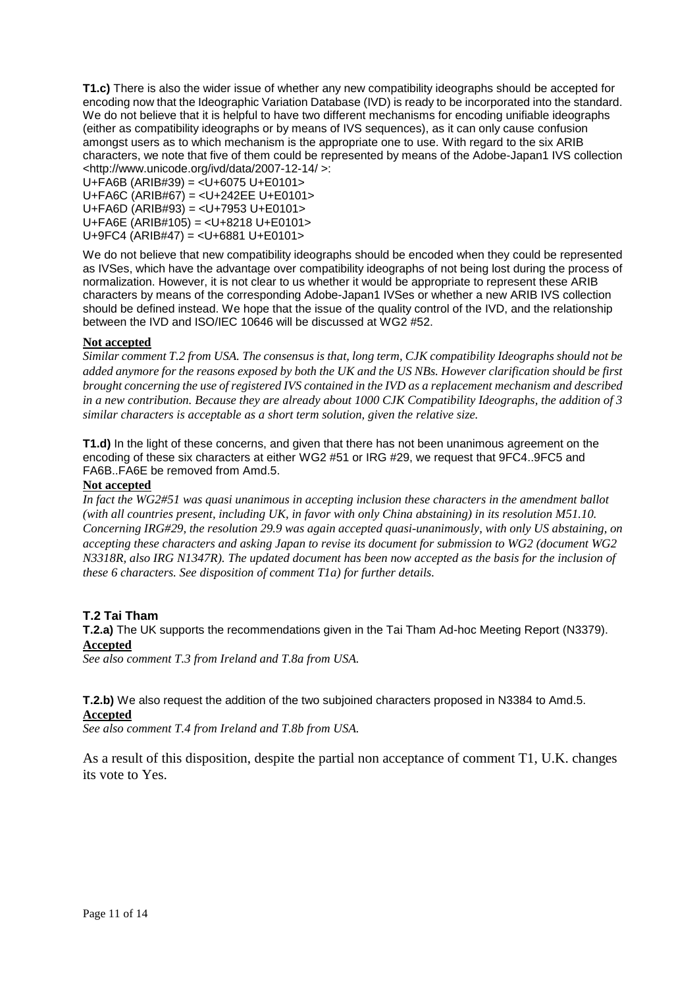**T1.c)** There is also the wider issue of whether any new compatibility ideographs should be accepted for encoding now that the Ideographic Variation Database (IVD) is ready to be incorporated into the standard. We do not believe that it is helpful to have two different mechanisms for encoding unifiable ideographs (either as compatibility ideographs or by means of IVS sequences), as it can only cause confusion amongst users as to which mechanism is the appropriate one to use. With regard to the six ARIB characters, we note that five of them could be represented by means of the Adobe-Japan1 IVS collection <http://www.unicode.org/ivd/data/2007-12-14/ >:

U+FA6B (ARIB#39) = <U+6075 U+E0101> U+FA6C (ARIB#67) = <U+242EE U+E0101> U+FA6D (ARIB#93) = <U+7953 U+E0101> U+FA6E (ARIB#105) = <U+8218 U+E0101> U+9FC4 (ARIB#47) = <U+6881 U+E0101>

We do not believe that new compatibility ideographs should be encoded when they could be represented as IVSes, which have the advantage over compatibility ideographs of not being lost during the process of normalization. However, it is not clear to us whether it would be appropriate to represent these ARIB characters by means of the corresponding Adobe-Japan1 IVSes or whether a new ARIB IVS collection should be defined instead. We hope that the issue of the quality control of the IVD, and the relationship between the IVD and ISO/IEC 10646 will be discussed at WG2 #52.

# **Not accepted**

*Similar comment T.2 from USA. The consensus is that, long term, CJK compatibility Ideographs should not be added anymore for the reasons exposed by both the UK and the US NBs. However clarification should be first brought concerning the use of registered IVS contained in the IVD as a replacement mechanism and described in a new contribution. Because they are already about 1000 CJK Compatibility Ideographs, the addition of 3 similar characters is acceptable as a short term solution, given the relative size.*

**T1.d)** In the light of these concerns, and given that there has not been unanimous agreement on the encoding of these six characters at either WG2 #51 or IRG #29, we request that 9FC4..9FC5 and FA6B..FA6E be removed from Amd.5.

#### **Not accepted**

*In fact the WG2#51 was quasi unanimous in accepting inclusion these characters in the amendment ballot (with all countries present, including UK, in favor with only China abstaining) in its resolution M51.10. Concerning IRG#29, the resolution 29.9 was again accepted quasi-unanimously, with only US abstaining, on accepting these characters and asking Japan to revise its document for submission to WG2 (document WG2 N3318R, also IRG N1347R). The updated document has been now accepted as the basis for the inclusion of these 6 characters. See disposition of comment T1a) for further details.*

#### **T.2 Tai Tham**

**T.2.a)** The UK supports the recommendations given in the Tai Tham Ad-hoc Meeting Report (N3379). **Accepted**

*See also comment T.3 from Ireland and T.8a from USA.*

**T.2.b)** We also request the addition of the two subjoined characters proposed in N3384 to Amd.5. **Accepted**

*See also comment T.4 from Ireland and T.8b from USA.*

As a result of this disposition, despite the partial non acceptance of comment T1, U.K. changes its vote to Yes.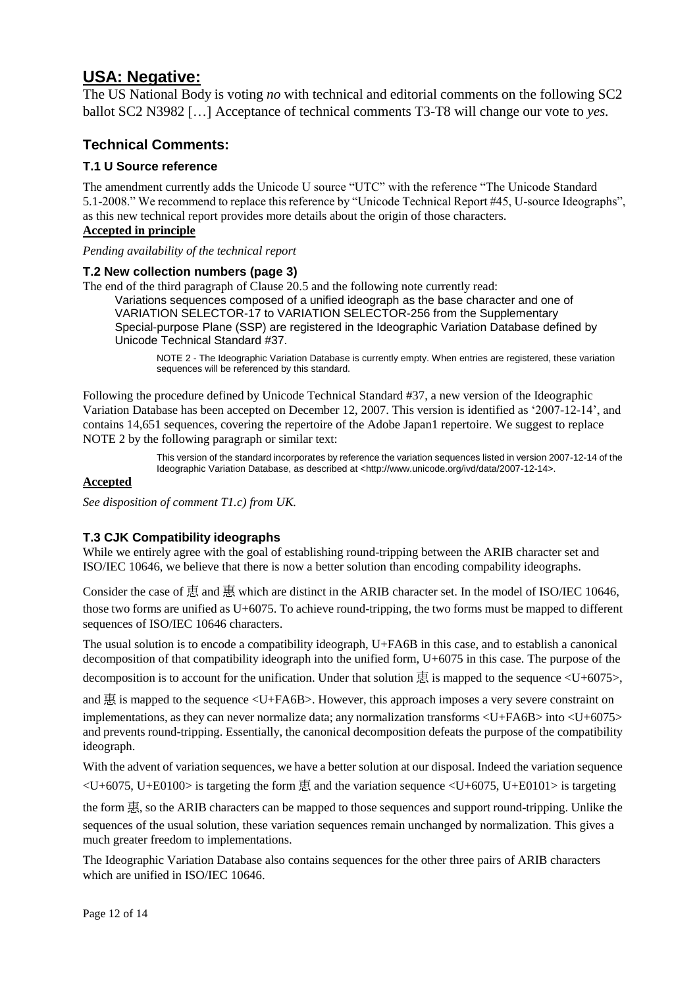# **USA: Negative:**

The US National Body is voting *no* with technical and editorial comments on the following SC2 ballot SC2 N3982 […] Acceptance of technical comments T3-T8 will change our vote to *yes.*

# **Technical Comments:**

# **T.1 U Source reference**

The amendment currently adds the Unicode U source "UTC" with the reference "The Unicode Standard 5.1-2008." We recommend to replace this reference by "Unicode Technical Report #45, U-source Ideographs", as this new technical report provides more details about the origin of those characters.

# **Accepted in principle**

*Pending availability of the technical report*

# **T.2 New collection numbers (page 3)**

The end of the third paragraph of Clause 20.5 and the following note currently read:

Variations sequences composed of a unified ideograph as the base character and one of VARIATION SELECTOR-17 to VARIATION SELECTOR-256 from the Supplementary Special-purpose Plane (SSP) are registered in the Ideographic Variation Database defined by Unicode Technical Standard #37.

NOTE 2 - The Ideographic Variation Database is currently empty. When entries are registered, these variation sequences will be referenced by this standard.

Following the procedure defined by Unicode Technical Standard #37, a new version of the Ideographic Variation Database has been accepted on December 12, 2007. This version is identified as "2007-12-14", and contains 14,651 sequences, covering the repertoire of the Adobe Japan1 repertoire. We suggest to replace NOTE 2 by the following paragraph or similar text:

> This version of the standard incorporates by reference the variation sequences listed in version 2007-12-14 of the Ideographic Variation Database, as described at <http://www.unicode.org/ivd/data/2007-12-14>.

#### **Accepted**

*See disposition of comment T1.c) from UK.*

# **T.3 CJK Compatibility ideographs**

While we entirely agree with the goal of establishing round-tripping between the ARIB character set and ISO/IEC 10646, we believe that there is now a better solution than encoding compability ideographs.

Consider the case of  $\overline{B}$  and  $\overline{B}$  which are distinct in the ARIB character set. In the model of ISO/IEC 10646, those two forms are unified as U+6075. To achieve round-tripping, the two forms must be mapped to different sequences of ISO/IEC 10646 characters.

The usual solution is to encode a compatibility ideograph, U+FA6B in this case, and to establish a canonical decomposition of that compatibility ideograph into the unified form, U+6075 in this case. The purpose of the

decomposition is to account for the unification. Under that solution  $\overline{B}$  is mapped to the sequence <U+6075>,

and  $\overline{\text{B}}$  is mapped to the sequence <U+FA6B>. However, this approach imposes a very severe constraint on implementations, as they can never normalize data; any normalization transforms  $\langle U+FA6B\rangle$  into  $\langle U+6075\rangle$ and prevents round-tripping. Essentially, the canonical decomposition defeats the purpose of the compatibility ideograph.

With the advent of variation sequences, we have a better solution at our disposal. Indeed the variation sequence

 $\leq$ U+6075, U+E0100 $>$  is targeting the form  $\overline{B}$  and the variation sequence  $\leq$ U+6075, U+E0101 $>$  is targeting

the form 惠, so the ARIB characters can be mapped to those sequences and support round-tripping. Unlike the sequences of the usual solution, these variation sequences remain unchanged by normalization. This gives a much greater freedom to implementations.

The Ideographic Variation Database also contains sequences for the other three pairs of ARIB characters which are unified in ISO/IEC 10646.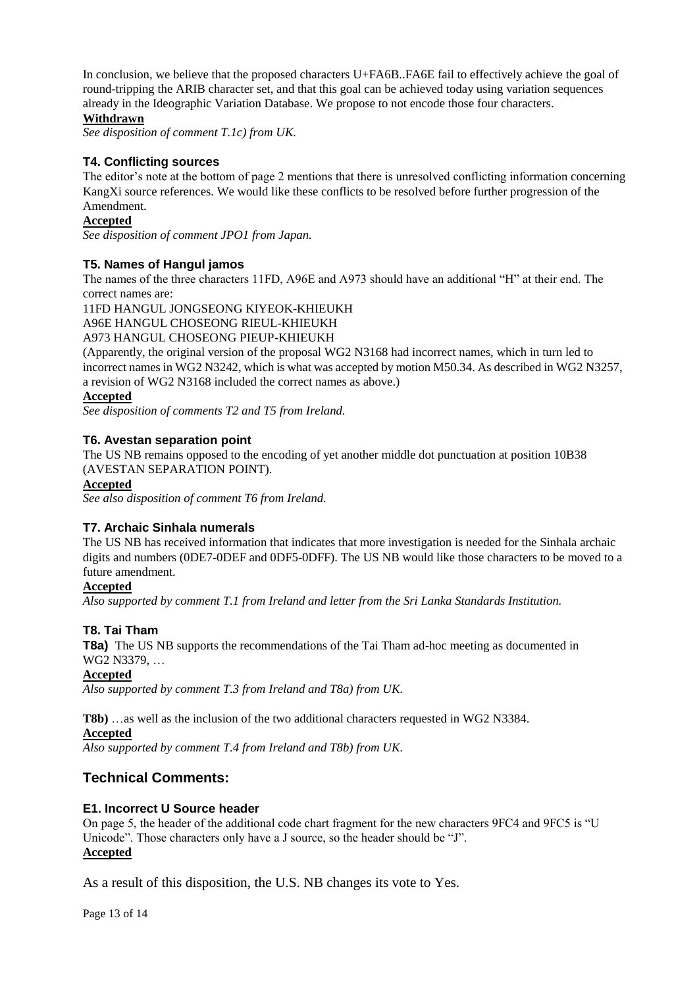In conclusion, we believe that the proposed characters U+FA6B..FA6E fail to effectively achieve the goal of round-tripping the ARIB character set, and that this goal can be achieved today using variation sequences already in the Ideographic Variation Database. We propose to not encode those four characters.

### **Withdrawn**

*See disposition of comment T.1c) from UK.*

### **T4. Conflicting sources**

The editor's note at the bottom of page 2 mentions that there is unresolved conflicting information concerning KangXi source references. We would like these conflicts to be resolved before further progression of the Amendment.

### **Accepted**

*See disposition of comment JPO1 from Japan.*

# **T5. Names of Hangul jamos**

The names of the three characters 11FD, A96E and A973 should have an additional "H" at their end. The correct names are:

11FD HANGUL JONGSEONG KIYEOK-KHIEUKH A96E HANGUL CHOSEONG RIEUL-KHIEUKH A973 HANGUL CHOSEONG PIEUP-KHIEUKH

(Apparently, the original version of the proposal WG2 N3168 had incorrect names, which in turn led to incorrect names in WG2 N3242, which is what was accepted by motion M50.34. As described in WG2 N3257, a revision of WG2 N3168 included the correct names as above.)

# **Accepted**

*See disposition of comments T2 and T5 from Ireland.*

# **T6. Avestan separation point**

The US NB remains opposed to the encoding of yet another middle dot punctuation at position 10B38 (AVESTAN SEPARATION POINT).

#### **Accepted**

*See also disposition of comment T6 from Ireland.*

#### **T7. Archaic Sinhala numerals**

The US NB has received information that indicates that more investigation is needed for the Sinhala archaic digits and numbers (0DE7-0DEF and 0DF5-0DFF). The US NB would like those characters to be moved to a future amendment.

#### **Accepted**

*Also supported by comment T.1 from Ireland and letter from the Sri Lanka Standards Institution.*

# **T8. Tai Tham**

**T8a)** The US NB supports the recommendations of the Tai Tham ad-hoc meeting as documented in WG2 N3379, …

#### **Accepted**

*Also supported by comment T.3 from Ireland and T8a) from UK.*

**T8b)** …as well as the inclusion of the two additional characters requested in WG2 N3384.

**Accepted**

*Also supported by comment T.4 from Ireland and T8b) from UK.*

# **Technical Comments:**

#### **E1. Incorrect U Source header**

On page 5, the header of the additional code chart fragment for the new characters 9FC4 and 9FC5 is "U Unicode". Those characters only have a J source, so the header should be "J". **Accepted**

As a result of this disposition, the U.S. NB changes its vote to Yes.

Page 13 of 14